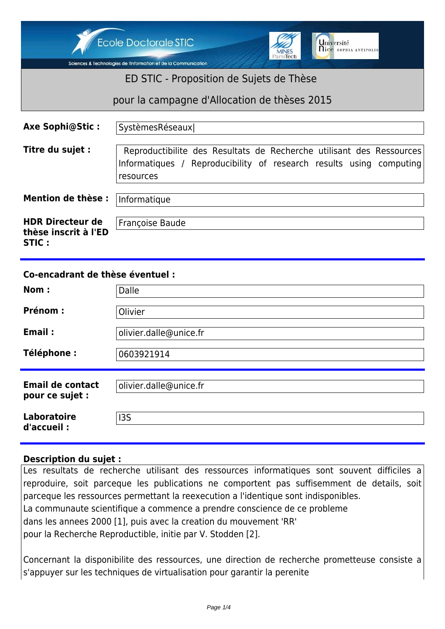Ecole Doctorale STIC



Sciences & Technologies de l'Information et de la Communication

## ED STIC - Proposition de Sujets de Thèse

pour la campagne d'Allocation de thèses 2015

| <b>Axe Sophi@Stic:</b>                                   | SystèmesRéseaux                                                                                                                                          |
|----------------------------------------------------------|----------------------------------------------------------------------------------------------------------------------------------------------------------|
| Titre du sujet :                                         | Reproductibilite des Resultats de Recherche utilisant des Ressources<br>Informatiques / Reproducibility of research results using computing<br>resources |
| <b>Mention de thèse:</b>                                 | Informatique                                                                                                                                             |
| <b>HDR Directeur de</b><br>thèse inscrit à l'ED<br>STIC: | Françoise Baude                                                                                                                                          |

## **Co-encadrant de thèse éventuel :**

| Nom:                                       | Dalle                  |
|--------------------------------------------|------------------------|
| <b>Prénom:</b>                             | Olivier                |
| Email:                                     | olivier.dalle@unice.fr |
| Téléphone :                                | 0603921914             |
| <b>Email de contact</b><br>pour ce sujet : | olivier.dalle@unice.fr |
| Laboratoire<br>d'accueil :                 | 135                    |

## **Description du sujet :**

Les resultats de recherche utilisant des ressources informatiques sont souvent difficiles a reproduire, soit parceque les publications ne comportent pas suffisemment de details, soit parceque les ressources permettant la reexecution a l'identique sont indisponibles. La communaute scientifique a commence a prendre conscience de ce probleme dans les annees 2000 [1], puis avec la creation du mouvement 'RR' pour la Recherche Reproductible, initie par V. Stodden [2].

Concernant la disponibilite des ressources, une direction de recherche prometteuse consiste a s'appuyer sur les techniques de virtualisation pour garantir la perenite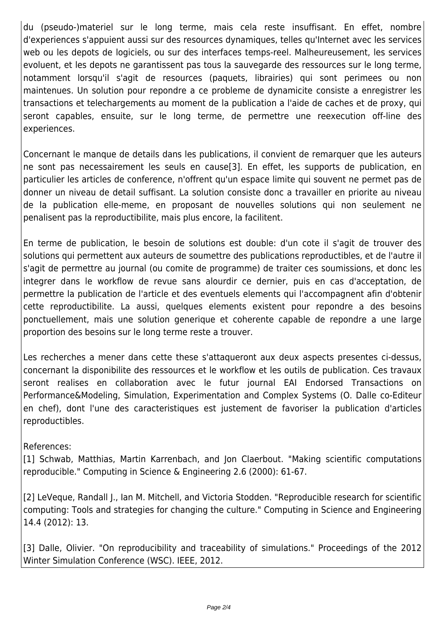du (pseudo-)materiel sur le long terme, mais cela reste insuffisant. En effet, nombre d'experiences s'appuient aussi sur des resources dynamiques, telles qu'Internet avec les services web ou les depots de logiciels, ou sur des interfaces temps-reel. Malheureusement, les services evoluent, et les depots ne garantissent pas tous la sauvegarde des ressources sur le long terme, notamment lorsqu'il s'agit de resources (paquets, librairies) qui sont perimees ou non maintenues. Un solution pour repondre a ce probleme de dynamicite consiste a enregistrer les transactions et telechargements au moment de la publication a l'aide de caches et de proxy, qui seront capables, ensuite, sur le long terme, de permettre une reexecution off-line des experiences.

Concernant le manque de details dans les publications, il convient de remarquer que les auteurs ne sont pas necessairement les seuls en cause[3]. En effet, les supports de publication, en particulier les articles de conference, n'offrent qu'un espace limite qui souvent ne permet pas de donner un niveau de detail suffisant. La solution consiste donc a travailler en priorite au niveau de la publication elle-meme, en proposant de nouvelles solutions qui non seulement ne penalisent pas la reproductibilite, mais plus encore, la facilitent.

En terme de publication, le besoin de solutions est double: d'un cote il s'agit de trouver des solutions qui permettent aux auteurs de soumettre des publications reproductibles, et de l'autre il s'agit de permettre au journal (ou comite de programme) de traiter ces soumissions, et donc les integrer dans le workflow de revue sans alourdir ce dernier, puis en cas d'acceptation, de permettre la publication de l'article et des eventuels elements qui l'accompagnent afin d'obtenir cette reproductibilite. La aussi, quelques elements existent pour repondre a des besoins ponctuellement, mais une solution generique et coherente capable de repondre a une large proportion des besoins sur le long terme reste a trouver.

Les recherches a mener dans cette these s'attaqueront aux deux aspects presentes ci-dessus, concernant la disponibilite des ressources et le workflow et les outils de publication. Ces travaux seront realises en collaboration avec le futur journal EAI Endorsed Transactions on Performance&Modeling, Simulation, Experimentation and Complex Systems (O. Dalle co-Editeur en chef), dont l'une des caracteristiques est justement de favoriser la publication d'articles reproductibles.

References:

[1] Schwab, Matthias, Martin Karrenbach, and Jon Claerbout. "Making scientific computations reproducible." Computing in Science & Engineering 2.6 (2000): 61-67.

[2] LeVeque, Randall I., Ian M. Mitchell, and Victoria Stodden. "Reproducible research for scientific computing: Tools and strategies for changing the culture." Computing in Science and Engineering 14.4 (2012): 13.

[3] Dalle, Olivier. "On reproducibility and traceability of simulations." Proceedings of the 2012 Winter Simulation Conference (WSC). IEEE, 2012.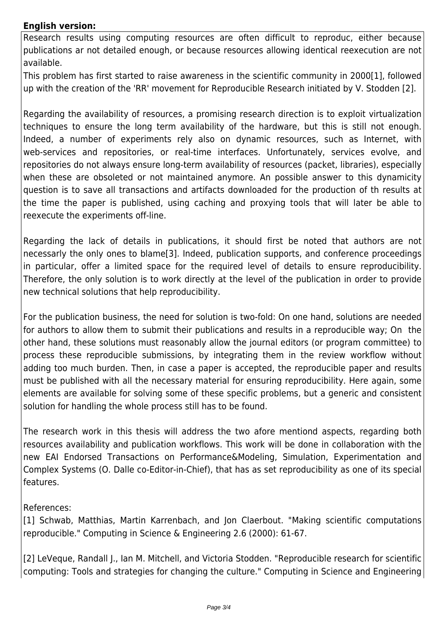## **English version:**

Research results using computing resources are often difficult to reproduc, either because publications ar not detailed enough, or because resources allowing identical reexecution are not available.

This problem has first started to raise awareness in the scientific community in 2000[1], followed up with the creation of the 'RR' movement for Reproducible Research initiated by V. Stodden [2].

Regarding the availability of resources, a promising research direction is to exploit virtualization techniques to ensure the long term availability of the hardware, but this is still not enough. Indeed, a number of experiments rely also on dynamic resources, such as Internet, with web-services and repositories, or real-time interfaces. Unfortunately, services evolve, and repositories do not always ensure long-term availability of resources (packet, libraries), especially when these are obsoleted or not maintained anymore. An possible answer to this dynamicity question is to save all transactions and artifacts downloaded for the production of th results at the time the paper is published, using caching and proxying tools that will later be able to reexecute the experiments off-line.

Regarding the lack of details in publications, it should first be noted that authors are not necessarly the only ones to blame[3]. Indeed, publication supports, and conference proceedings in particular, offer a limited space for the required level of details to ensure reproducibility. Therefore, the only solution is to work directly at the level of the publication in order to provide new technical solutions that help reproducibility.

For the publication business, the need for solution is two-fold: On one hand, solutions are needed for authors to allow them to submit their publications and results in a reproducible way; On the other hand, these solutions must reasonably allow the journal editors (or program committee) to process these reproducible submissions, by integrating them in the review workflow without adding too much burden. Then, in case a paper is accepted, the reproducible paper and results must be published with all the necessary material for ensuring reproducibility. Here again, some elements are available for solving some of these specific problems, but a generic and consistent solution for handling the whole process still has to be found.

The research work in this thesis will address the two afore mentiond aspects, regarding both resources availability and publication workflows. This work will be done in collaboration with the new EAI Endorsed Transactions on Performance&Modeling, Simulation, Experimentation and Complex Systems (O. Dalle co-Editor-in-Chief), that has as set reproducibility as one of its special features.

References:

[1] Schwab, Matthias, Martin Karrenbach, and Jon Claerbout. "Making scientific computations reproducible." Computing in Science & Engineering 2.6 (2000): 61-67.

[2] LeVeque, Randall J., Ian M. Mitchell, and Victoria Stodden. "Reproducible research for scientific computing: Tools and strategies for changing the culture." Computing in Science and Engineering